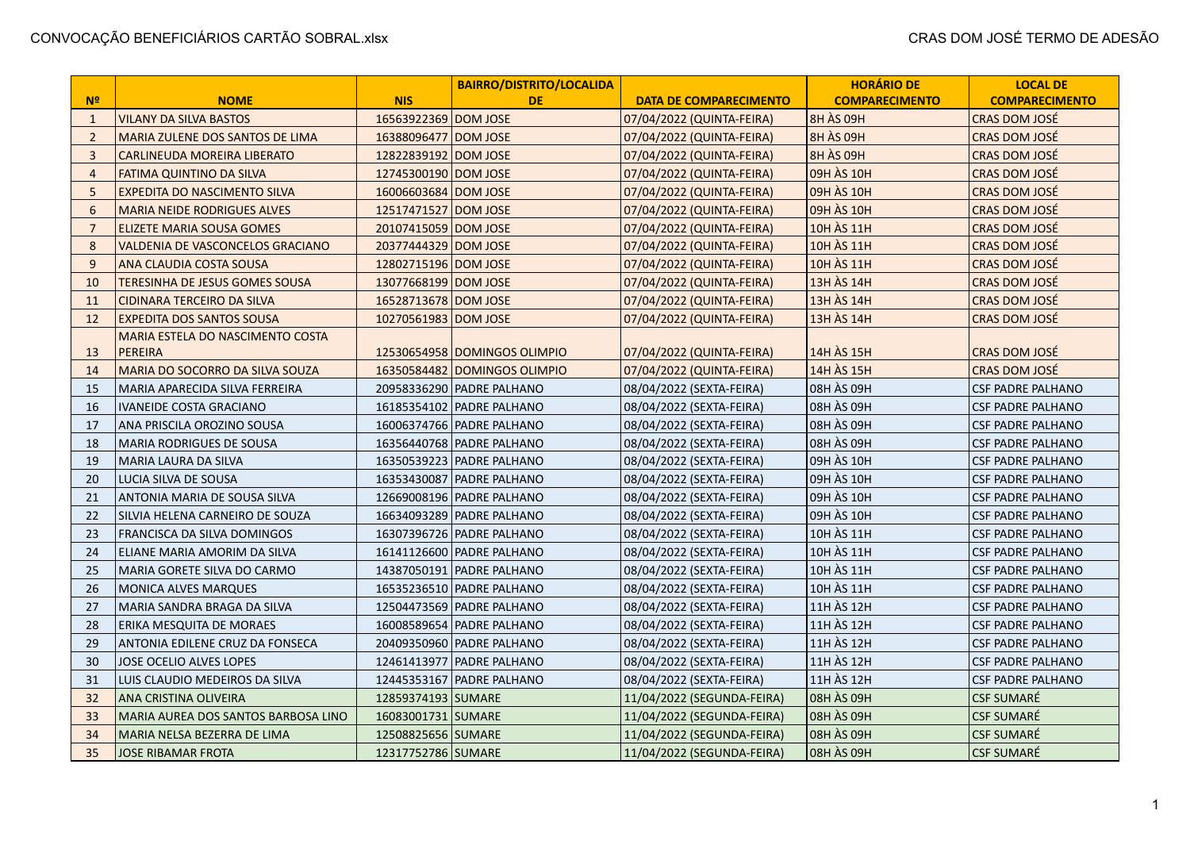|                 |                                         |                      | <b>BAIRRO/DISTRITO/LOCALIDA</b> |                               | <b>HORÁRIO DE</b>     | <b>LOCAL DE</b>          |
|-----------------|-----------------------------------------|----------------------|---------------------------------|-------------------------------|-----------------------|--------------------------|
| N <sup>o</sup>  | <b>NOME</b>                             | <b>NIS</b>           | <b>DE</b>                       | <b>DATA DE COMPARECIMENTO</b> | <b>COMPARECIMENTO</b> | <b>COMPARECIMENTO</b>    |
| $\mathbf{1}$    | <b>VILANY DA SILVA BASTOS</b>           | 16563922369 DOM JOSE |                                 | 07/04/2022 (QUINTA-FEIRA)     | 8H ÀS 09H             | CRAS DOM JOSÉ            |
| $\overline{2}$  | MARIA ZULENE DOS SANTOS DE LIMA         | 16388096477 DOM JOSE |                                 | 07/04/2022 (QUINTA-FEIRA)     | <b>8H ÀS 09H</b>      | <b>CRAS DOM JOSÉ</b>     |
| 3               | <b>CARLINEUDA MOREIRA LIBERATO</b>      | 12822839192 DOM JOSE |                                 | 07/04/2022 (QUINTA-FEIRA)     | <b>8H ÀS 09H</b>      | CRAS DOM JOSÉ            |
| $\overline{4}$  | <b>FATIMA QUINTINO DA SILVA</b>         | 12745300190 DOM JOSE |                                 | 07/04/2022 (QUINTA-FEIRA)     | 09H ÀS 10H            | CRAS DOM JOSÉ            |
| 5               | <b>EXPEDITA DO NASCIMENTO SILVA</b>     | 16006603684 DOM JOSE |                                 | 07/04/2022 (QUINTA-FEIRA)     | 09H ÀS 10H            | CRAS DOM JOSÉ            |
| $6\phantom{1}6$ | <b>MARIA NEIDE RODRIGUES ALVES</b>      | 12517471527 DOM JOSE |                                 | 07/04/2022 (QUINTA-FEIRA)     | 09H ÀS 10H            | CRAS DOM JOSÉ            |
| $\overline{7}$  | <b>ELIZETE MARIA SOUSA GOMES</b>        | 20107415059 DOM JOSE |                                 | 07/04/2022 (QUINTA-FEIRA)     | 10H ÀS 11H            | CRAS DOM JOSÉ            |
| 8               | <b>VALDENIA DE VASCONCELOS GRACIANO</b> | 20377444329 DOM JOSE |                                 | 07/04/2022 (QUINTA-FEIRA)     | 10H ÀS 11H            | CRAS DOM JOSÉ            |
| 9               | ANA CLAUDIA COSTA SOUSA                 | 12802715196 DOM JOSE |                                 | 07/04/2022 (QUINTA-FEIRA)     | 10H ÀS 11H            | CRAS DOM JOSÉ            |
| 10              | <b>TERESINHA DE JESUS GOMES SOUSA</b>   | 13077668199 DOM JOSE |                                 | 07/04/2022 (QUINTA-FEIRA)     | 13H AS 14H            | CRAS DOM JOSÉ            |
| 11              | <b>CIDINARA TERCEIRO DA SILVA</b>       | 16528713678 DOM JOSE |                                 | 07/04/2022 (QUINTA-FEIRA)     | 13H ÀS 14H            | CRAS DOM JOSÉ            |
| 12              | <b>EXPEDITA DOS SANTOS SOUSA</b>        | 10270561983 DOM JOSE |                                 | 07/04/2022 (QUINTA-FEIRA)     | 13H ÀS 14H            | CRAS DOM JOSÉ            |
|                 | MARIA ESTELA DO NASCIMENTO COSTA        |                      |                                 |                               |                       |                          |
| 13              | <b>PEREIRA</b>                          |                      | 12530654958   DOMINGOS OLIMPIO  | 07/04/2022 (QUINTA-FEIRA)     | 14H ÀS 15H            | <b>CRAS DOM JOSÉ</b>     |
| 14              | MARIA DO SOCORRO DA SILVA SOUZA         |                      | 16350584482 DOMINGOS OLIMPIO    | 07/04/2022 (QUINTA-FEIRA)     | 14H ÀS 15H            | <b>CRAS DOM JOSÉ</b>     |
| 15              | MARIA APARECIDA SILVA FERREIRA          |                      | 20958336290   PADRE PALHANO     | 08/04/2022 (SEXTA-FEIRA)      | 08H ÀS 09H            | <b>CSF PADRE PALHANO</b> |
| 16              | <b>IVANEIDE COSTA GRACIANO</b>          |                      | 16185354102   PADRE PALHANO     | 08/04/2022 (SEXTA-FEIRA)      | 08H ÀS 09H            | <b>CSF PADRE PALHANO</b> |
| 17              | ANA PRISCILA OROZINO SOUSA              |                      | 16006374766   PADRE PALHANO     | 08/04/2022 (SEXTA-FEIRA)      | 08H ÀS 09H            | <b>CSF PADRE PALHANO</b> |
| 18              | MARIA RODRIGUES DE SOUSA                |                      | 16356440768   PADRE PALHANO     | 08/04/2022 (SEXTA-FEIRA)      | 08H ÀS 09H            | <b>CSF PADRE PALHANO</b> |
| 19              | MARIA LAURA DA SILVA                    |                      | 16350539223   PADRE PALHANO     | 08/04/2022 (SEXTA-FEIRA)      | 09H ÀS 10H            | <b>CSF PADRE PALHANO</b> |
| 20              | LUCIA SILVA DE SOUSA                    |                      | 16353430087   PADRE PALHANO     | 08/04/2022 (SEXTA-FEIRA)      | 09H ÀS 10H            | <b>CSF PADRE PALHANO</b> |
| 21              | ANTONIA MARIA DE SOUSA SILVA            |                      | 12669008196 PADRE PALHANO       | 08/04/2022 (SEXTA-FEIRA)      | 09H ÀS 10H            | <b>CSF PADRE PALHANO</b> |
| 22              | SILVIA HELENA CARNEIRO DE SOUZA         |                      | 16634093289   PADRE PALHANO     | 08/04/2022 (SEXTA-FEIRA)      | 09H ÀS 10H            | <b>CSF PADRE PALHANO</b> |
| 23              | FRANCISCA DA SILVA DOMINGOS             |                      | 16307396726   PADRE PALHANO     | 08/04/2022 (SEXTA-FEIRA)      | 10H ÀS 11H            | <b>CSF PADRE PALHANO</b> |
| 24              | ELIANE MARIA AMORIM DA SILVA            |                      | 16141126600 PADRE PALHANO       | 08/04/2022 (SEXTA-FEIRA)      | 10H ÀS 11H            | <b>CSF PADRE PALHANO</b> |
| 25              | MARIA GORETE SILVA DO CARMO             |                      | 14387050191 PADRE PALHANO       | 08/04/2022 (SEXTA-FEIRA)      | 10H ÀS 11H            | <b>CSF PADRE PALHANO</b> |
| 26              | MONICA ALVES MARQUES                    |                      | 16535236510 PADRE PALHANO       | 08/04/2022 (SEXTA-FEIRA)      | 10H ÀS 11H            | <b>CSF PADRE PALHANO</b> |
| 27              | MARIA SANDRA BRAGA DA SILVA             |                      | 12504473569 PADRE PALHANO       | 08/04/2022 (SEXTA-FEIRA)      | 11H ÀS 12H            | <b>CSF PADRE PALHANO</b> |
| 28              | ERIKA MESQUITA DE MORAES                |                      | 16008589654 PADRE PALHANO       | 08/04/2022 (SEXTA-FEIRA)      | 11H ÀS 12H            | <b>CSF PADRE PALHANO</b> |
| 29              | ANTONIA EDILENE CRUZ DA FONSECA         |                      | 20409350960 PADRE PALHANO       | 08/04/2022 (SEXTA-FEIRA)      | 11H ÀS 12H            | <b>CSF PADRE PALHANO</b> |
| 30              | <b>JOSE OCELIO ALVES LOPES</b>          |                      | 12461413977   PADRE PALHANO     | 08/04/2022 (SEXTA-FEIRA)      | 11H ÀS 12H            | <b>CSF PADRE PALHANO</b> |
| 31              | LUIS CLAUDIO MEDEIROS DA SILVA          |                      | 12445353167 PADRE PALHANO       | 08/04/2022 (SEXTA-FEIRA)      | l 11H ÀS 12H          | <b>CSF PADRE PALHANO</b> |
| 32              | ANA CRISTINA OLIVEIRA                   | 12859374193 SUMARE   |                                 | 11/04/2022 (SEGUNDA-FEIRA)    | 08H ÀS 09H            | <b>CSF SUMARÉ</b>        |
| 33              | MARIA AUREA DOS SANTOS BARBOSA LINO     | 16083001731 SUMARE   |                                 | 11/04/2022 (SEGUNDA-FEIRA)    | 08H ÀS 09H            | <b>CSF SUMARÉ</b>        |
| 34              | MARIA NELSA BEZERRA DE LIMA             | 12508825656 SUMARE   |                                 | 11/04/2022 (SEGUNDA-FEIRA)    | 08H ÀS 09H            | <b>CSF SUMARÉ</b>        |
| 35              | <b>JOSE RIBAMAR FROTA</b>               | 12317752786 SUMARE   |                                 | 11/04/2022 (SEGUNDA-FEIRA)    | lo8H ÀS 09H           | <b>CSF SUMARÉ</b>        |